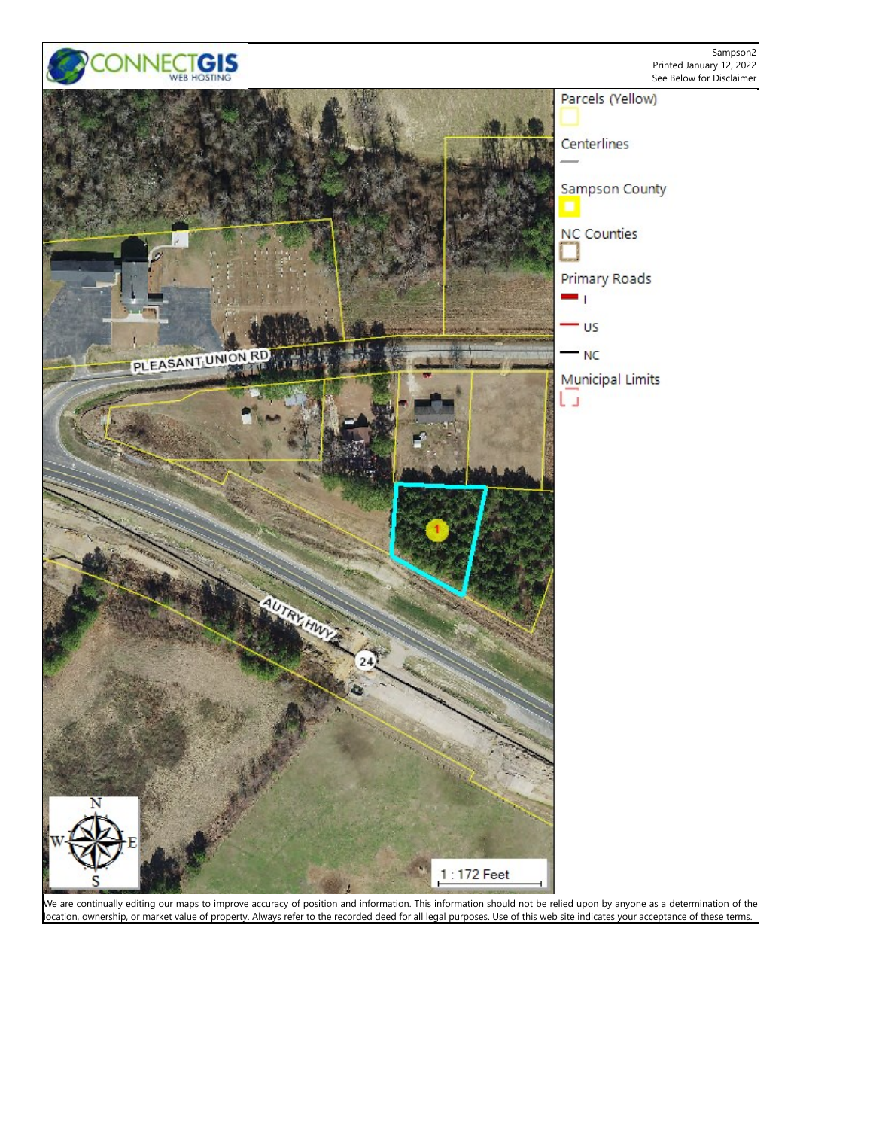

We are continually editing our maps to improve accuracy of position and information. This information should not be relied upon by anyone as a determination of the location, ownership, or market value of property. Always refer to the recorded deed for all legal purposes. Use of this web site indicates your acceptance of these terms.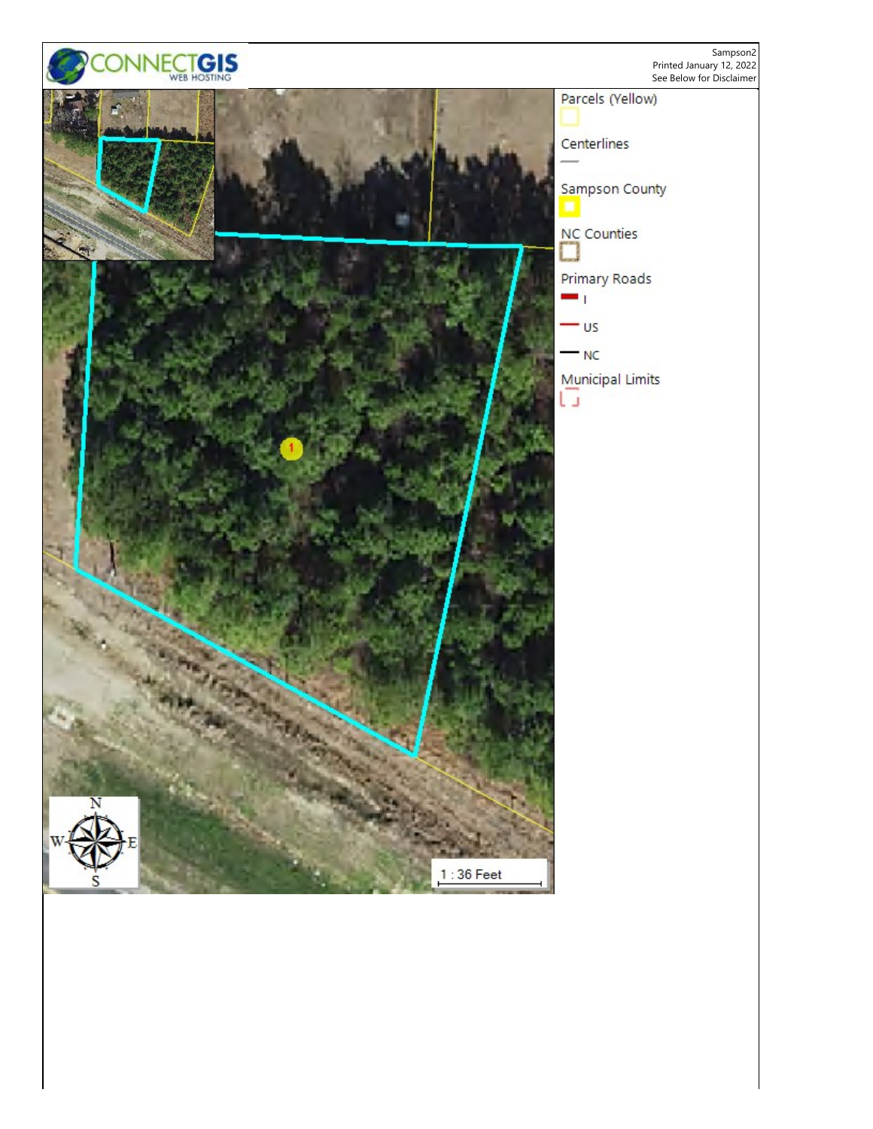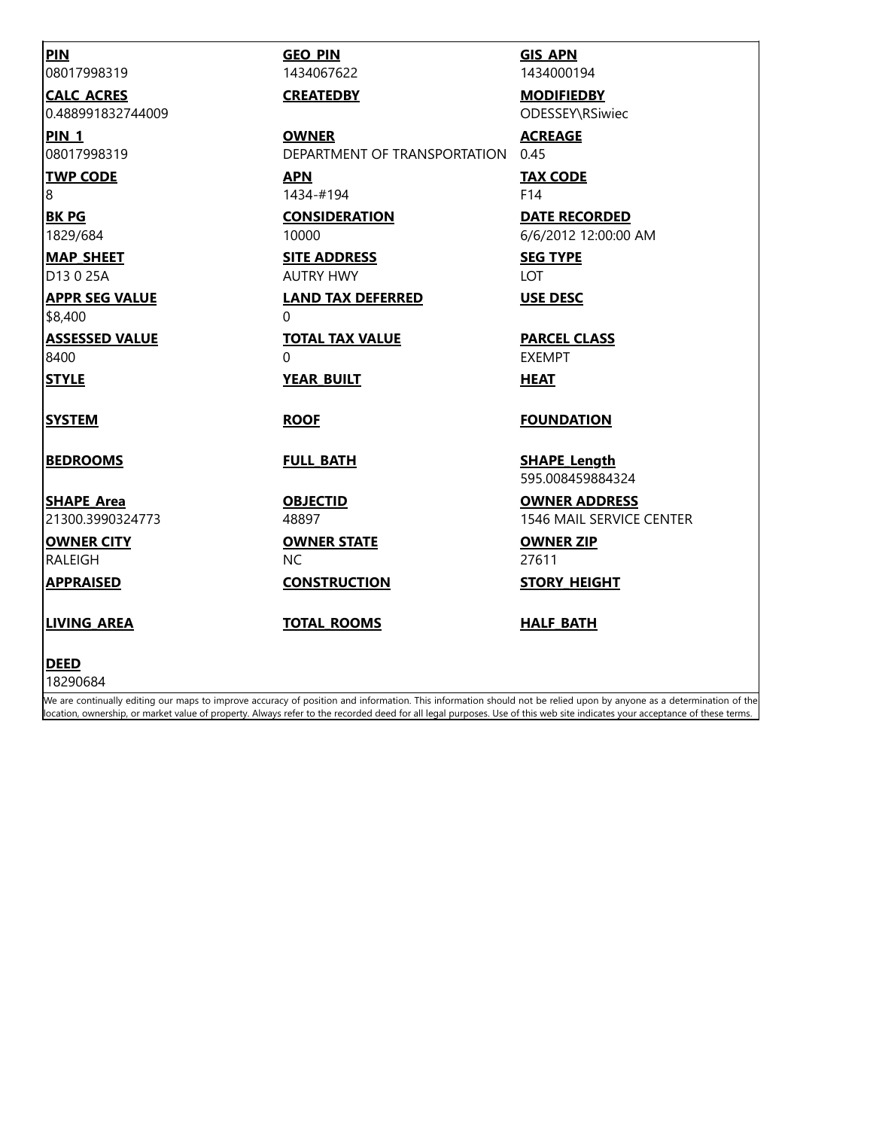| <b>PIN</b><br>08017998319 | <b>GEO PIN</b><br>1434067622      | <b>GIS APN</b><br>1434000194            |
|---------------------------|-----------------------------------|-----------------------------------------|
| <b>CALC ACRES</b>         | <b>CREATEDBY</b>                  | <b>MODIFIEDBY</b>                       |
| 0.488991832744009         |                                   | ODESSEY\RSiwiec                         |
| <b>PIN 1</b>              | <b>OWNER</b>                      | <b>ACREAGE</b>                          |
| 08017998319               | DEPARTMENT OF TRANSPORTATION 0.45 |                                         |
| <b>TWP CODE</b>           | <b>APN</b>                        | <b>TAX CODE</b>                         |
| 8                         | 1434-#194                         | F14                                     |
| <b>BK PG</b>              | <b>CONSIDERATION</b>              | <b>DATE RECORDED</b>                    |
| 1829/684                  | 10000                             | 6/6/2012 12:00:00 AM                    |
| <b>MAP SHEET</b>          | <b>SITE ADDRESS</b>               | <b>SEG TYPE</b>                         |
| D <sub>13</sub> 0 25A     | <b>AUTRY HWY</b>                  | <b>LOT</b>                              |
| <b>APPR SEG VALUE</b>     | <b>LAND TAX DEFERRED</b>          | <b>USE DESC</b>                         |
| \$8,400                   | 0                                 |                                         |
| <b>ASSESSED VALUE</b>     | <b>TOTAL TAX VALUE</b>            | <b>PARCEL CLASS</b>                     |
| 8400                      | 0                                 | <b>EXEMPT</b>                           |
| <b>STYLE</b>              | <b>YEAR BUILT</b>                 | <b>HEAT</b>                             |
| <b>SYSTEM</b>             | <b>ROOF</b>                       | <b>FOUNDATION</b>                       |
| <b>BEDROOMS</b>           | <b>FULL BATH</b>                  | <b>SHAPE Length</b><br>595.008459884324 |
| <b>SHAPE Area</b>         | <b>OBJECTID</b>                   | <b>OWNER ADDRESS</b>                    |
| 21300.3990324773          | 48897                             | 1546 MAIL SERVICE CENTER                |
| <b>OWNER CITY</b>         | <b>OWNER STATE</b>                | <b>OWNER ZIP</b>                        |
| RALEIGH                   | <b>NC</b>                         | 27611                                   |
| <b>APPRAISED</b>          | <b>CONSTRUCTION</b>               | <b>STORY HEIGHT</b>                     |
| <b>LIVING AREA</b>        | <b>TOTAL ROOMS</b>                | <b>HALF BATH</b>                        |
| <b>DEED</b>               |                                   |                                         |
| 18290684                  |                                   |                                         |

We are continually editing our maps to improve accuracy of position and information. This information should not be relied upon by anyone as a determination of the location, ownership, or market value of property. Always refer to the recorded deed for all legal purposes. Use of this web site indicates your acceptance of these terms.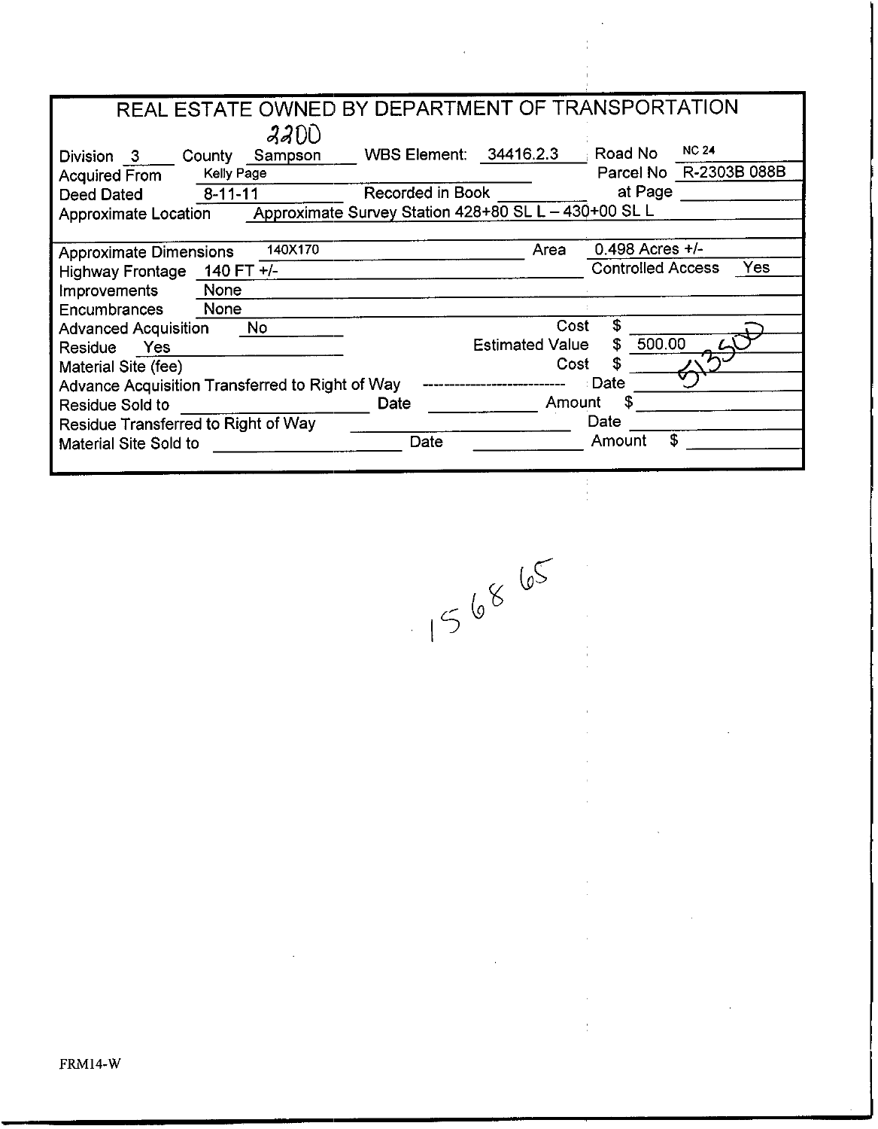| REAL ESTATE OWNED BY DEPARTMENT OF TRANSPORTATION |                                                      |                        |                          |                        |
|---------------------------------------------------|------------------------------------------------------|------------------------|--------------------------|------------------------|
| 22DD                                              |                                                      |                        |                          |                        |
| Sampson<br>Division 3 County                      | WBS Element: 34416.2.3                               |                        | Road No                  | <b>NC 24</b>           |
| Kelly Page<br><b>Acquired From</b>                |                                                      |                        |                          | Parcel No R-2303B 088B |
| Deed Dated<br>$8 - 11 - 11$                       | Recorded in Book                                     |                        | at Page                  |                        |
| Approximate Location                              | Approximate Survey Station 428+80 SL L - 430+00 SL L |                        |                          |                        |
|                                                   |                                                      |                        |                          |                        |
| 140X170<br><b>Approximate Dimensions</b>          |                                                      | Area                   | 0.498 Acres $+/-$        |                        |
| Highway Frontage 140 FT +/-                       |                                                      |                        | <b>Controlled Access</b> | Yes                    |
| None<br>Improvements                              |                                                      |                        |                          |                        |
| Encumbrances<br>None                              |                                                      |                        |                          |                        |
| <b>Advanced Acquisition</b><br>No.                |                                                      | Cost                   | \$                       |                        |
| Residue Yes                                       |                                                      | <b>Estimated Value</b> | 500.00<br>S              |                        |
| Material Site (fee)                               |                                                      | Cost                   | £                        |                        |
| Advance Acquisition Transferred to Right of Way   |                                                      |                        | Date                     |                        |
| Residue Sold to                                   | Date                                                 | Amount                 |                          |                        |
| Residue Transferred to Right of Way               |                                                      |                        | Date                     |                        |
| Material Site Sold to                             | Date                                                 |                        | \$<br>Amount             |                        |
|                                                   |                                                      |                        |                          |                        |

 $\hat{\mathcal{A}}$ 

 $156865$ 

 $\ddot{\phantom{a}}$  $\frac{1}{2}$ 

 $\ddot{\phantom{a}}$ 

 $\frac{1}{2}$ 

l,

à,

 $\frac{1}{\epsilon}$ 

 $\bar{\beta}$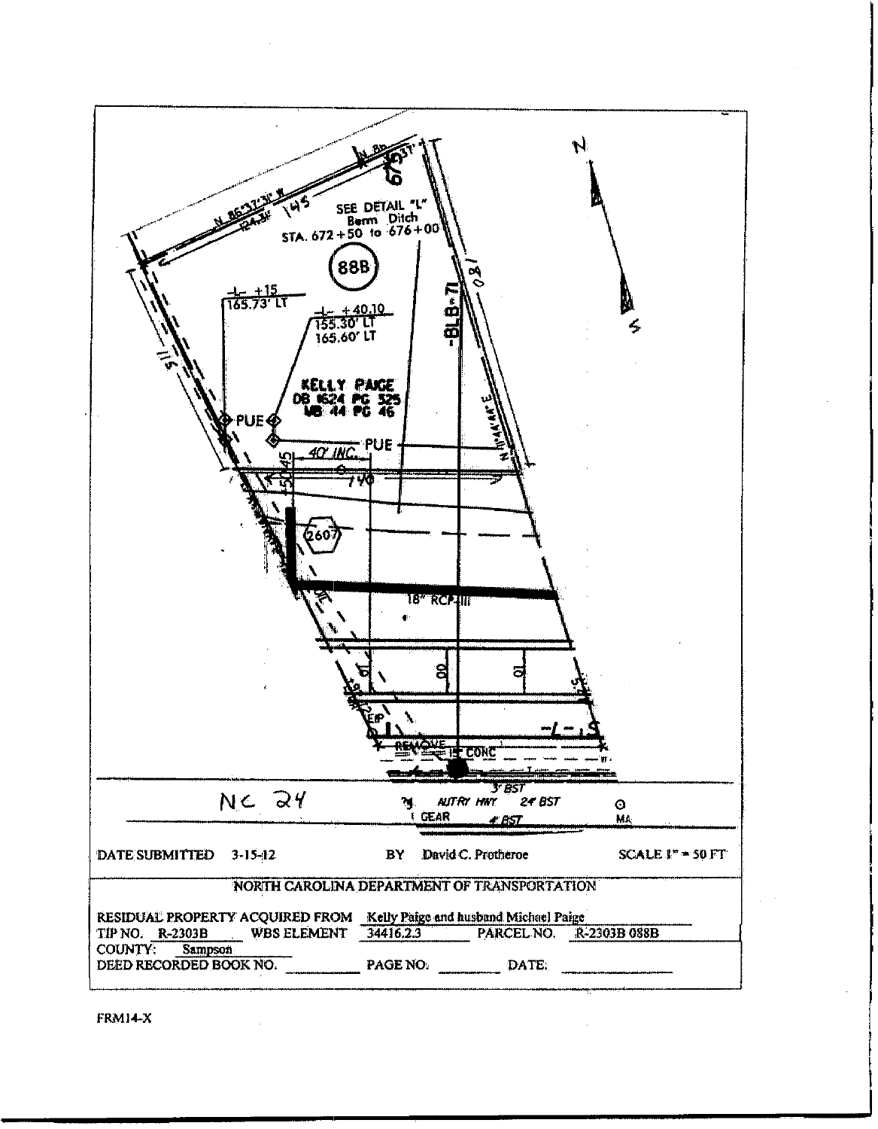

FRM14-X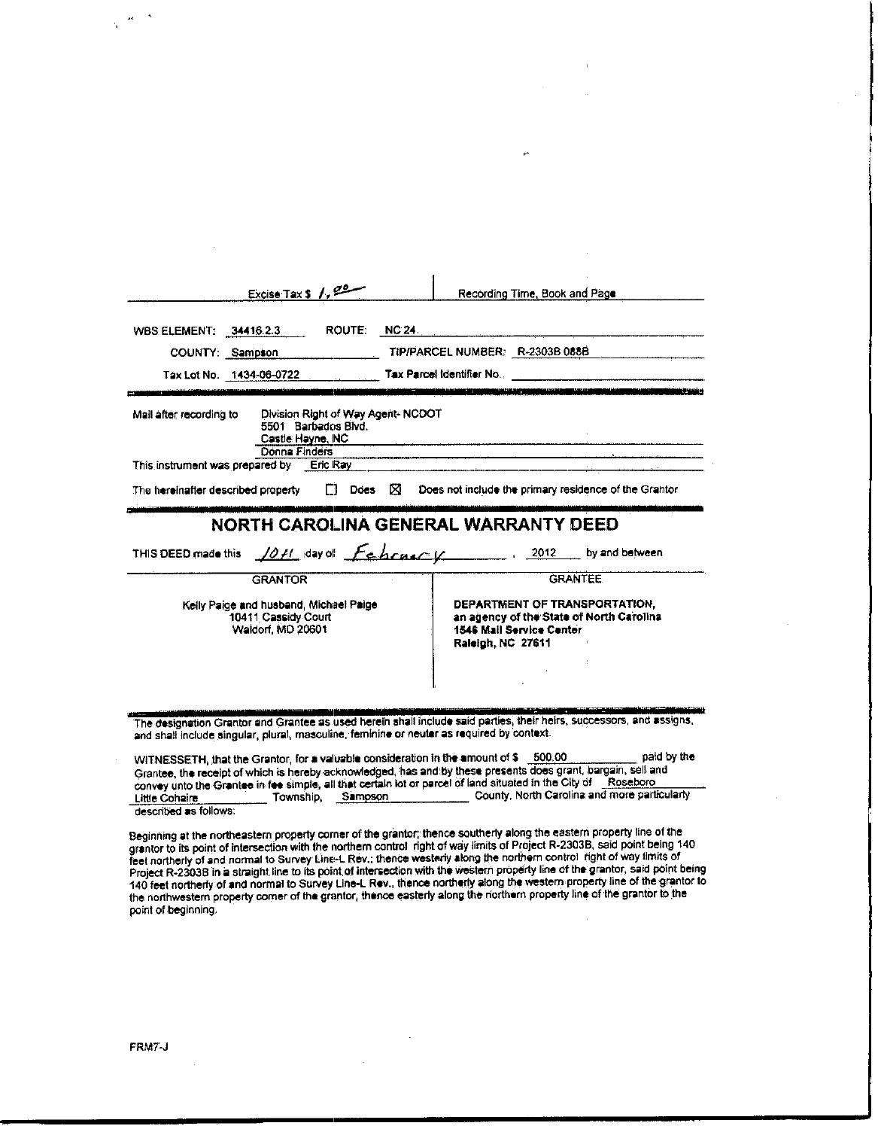| <b>ROUTE:</b><br>WBS ELEMENT: 34416.2.3                                                                                  | <b>NC 24</b>                                                                                                               |
|--------------------------------------------------------------------------------------------------------------------------|----------------------------------------------------------------------------------------------------------------------------|
| COUNTY: Sampson                                                                                                          | TIP/PARCEL NUMBER: R-2303B 088B                                                                                            |
| Tax Lot No. 1434-06-0722                                                                                                 | Tax Parcel Identifier No.<br>وتقعدا لأنفع<br><u> 1980 - De San Leonard III, marror de la Capital de San A</u>              |
| Division Right of Way Agent-NCDOT<br>Mail after recording to<br>5501 Barbados Blvd.<br>Castle Hayne, NC<br>Donna Finders |                                                                                                                            |
|                                                                                                                          |                                                                                                                            |
|                                                                                                                          |                                                                                                                            |
| $\Box$ Does $\boxtimes$                                                                                                  | Does not include the primary residence of the Grantor                                                                      |
| This instrument was prepared by Eric Ray<br>The hereinafter described property                                           |                                                                                                                            |
|                                                                                                                          | NORTH CAROLINA GENERAL WARRANTY DEED                                                                                       |
|                                                                                                                          | THIS DEED made this $\sqrt{Qf}f$ day of $\sqrt{f}$ by and between                                                          |
| <b>GRANTOR</b>                                                                                                           | <b>GRANTEE</b>                                                                                                             |
| Kelly Paige and husband, Michael Paige<br>10411 Cassidy Court<br>Waldorf, MD 20601                                       | DEPARTMENT OF TRANSPORTATION,<br>an agency of the State of North Carolina<br>1546 Mail Service Center<br>Raleigh, NC 27611 |
|                                                                                                                          |                                                                                                                            |
|                                                                                                                          |                                                                                                                            |

Grantee, the receipt of which is hereby acknowledged, has and by these presents does grant, bargain, sell and<br>convey unto the Grantee in fee simple, all that certain lot or parcel of land situated in the City of Roseboro Township, Sampson County, North Carolina and more particularly Little Cohaire described as follows:

Beginning at the northeastern property corner of the grantor; thence southerly along the eastern property line of the grantor to its point of intersection with the northern control right of way limits of Project R-2303B, s point of beginning.

 $\overline{\phantom{a}}$